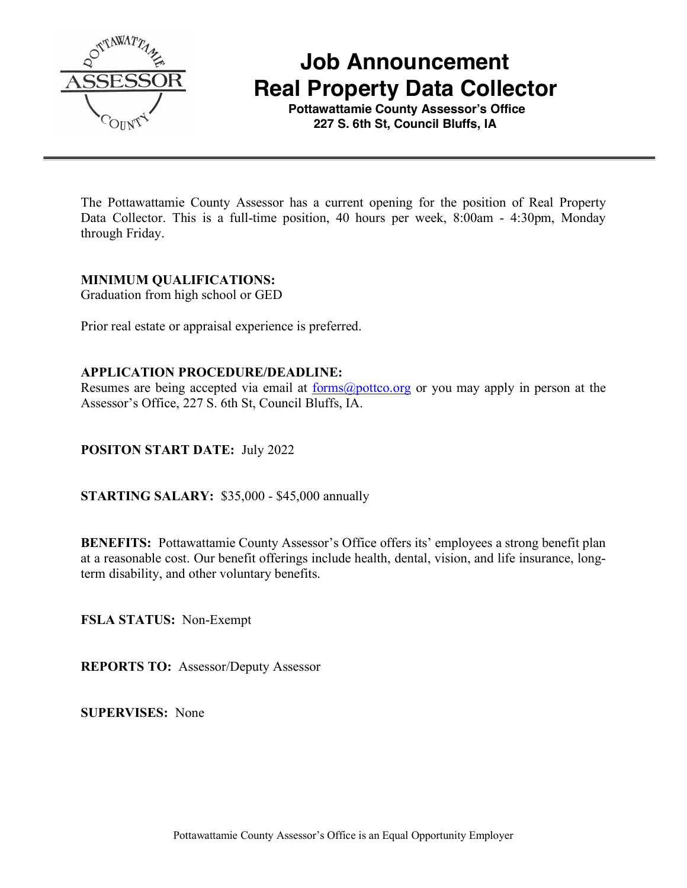

 **Job Announcement Real Property Data Collector**

 **Pottawattamie County Assessor's Office 227 S. 6th St, Council Bluffs, IA**

The Pottawattamie County Assessor has a current opening for the position of Real Property Data Collector. This is a full-time position, 40 hours per week, 8:00am - 4:30pm, Monday through Friday.

#### **MINIMUM QUALIFICATIONS:**

Graduation from high school or GED

Prior real estate or appraisal experience is preferred.

### **APPLICATION PROCEDURE/DEADLINE:**

Resumes are being accepted via email at <u>forms@pottco.org</u> or you may apply in person at the Assessor's Office, 227 S. 6th St, Council Bluffs, IA.

### **POSITON START DATE:** July 2022

**STARTING SALARY:** \$35,000 - \$45,000 annually

**BENEFITS:** Pottawattamie County Assessor's Office offers its' employees a strong benefit plan at a reasonable cost. Our benefit offerings include health, dental, vision, and life insurance, longterm disability, and other voluntary benefits.

**FSLA STATUS:** Non-Exempt

**REPORTS TO:** Assessor/Deputy Assessor

**SUPERVISES:** None